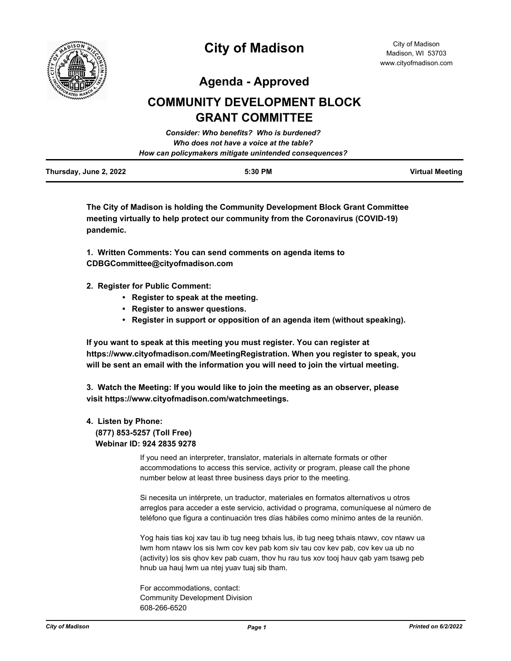

**Agenda - Approved**

# **COMMUNITY DEVELOPMENT BLOCK GRANT COMMITTEE**

|                        | Consider: Who benefits? Who is burdened?               |                        |
|------------------------|--------------------------------------------------------|------------------------|
|                        | Who does not have a voice at the table?                |                        |
|                        | How can policymakers mitigate unintended consequences? |                        |
| Thursday, June 2, 2022 | 5:30 PM                                                | <b>Virtual Meeting</b> |

**The City of Madison is holding the Community Development Block Grant Committee meeting virtually to help protect our community from the Coronavirus (COVID-19) pandemic.**

**1. Written Comments: You can send comments on agenda items to CDBGCommittee@cityofmadison.com**

- **2. Register for Public Comment:** 
	- **Register to speak at the meeting.**
	- **Register to answer questions.**
	- **Register in support or opposition of an agenda item (without speaking).**

**If you want to speak at this meeting you must register. You can register at https://www.cityofmadison.com/MeetingRegistration. When you register to speak, you will be sent an email with the information you will need to join the virtual meeting.**

**3. Watch the Meeting: If you would like to join the meeting as an observer, please visit https://www.cityofmadison.com/watchmeetings.**

# **4. Listen by Phone: (877) 853-5257 (Toll Free) Webinar ID: 924 2835 9278**

If you need an interpreter, translator, materials in alternate formats or other accommodations to access this service, activity or program, please call the phone number below at least three business days prior to the meeting.

Si necesita un intérprete, un traductor, materiales en formatos alternativos u otros arreglos para acceder a este servicio, actividad o programa, comuníquese al número de teléfono que figura a continuación tres días hábiles como mínimo antes de la reunión.

Yog hais tias koj xav tau ib tug neeg txhais lus, ib tug neeg txhais ntawv, cov ntawv ua lwm hom ntawv los sis lwm cov kev pab kom siv tau cov kev pab, cov kev ua ub no (activity) los sis qhov kev pab cuam, thov hu rau tus xov tooj hauv qab yam tsawg peb hnub ua hauj lwm ua ntej yuav tuaj sib tham.

For accommodations, contact: Community Development Division 608-266-6520